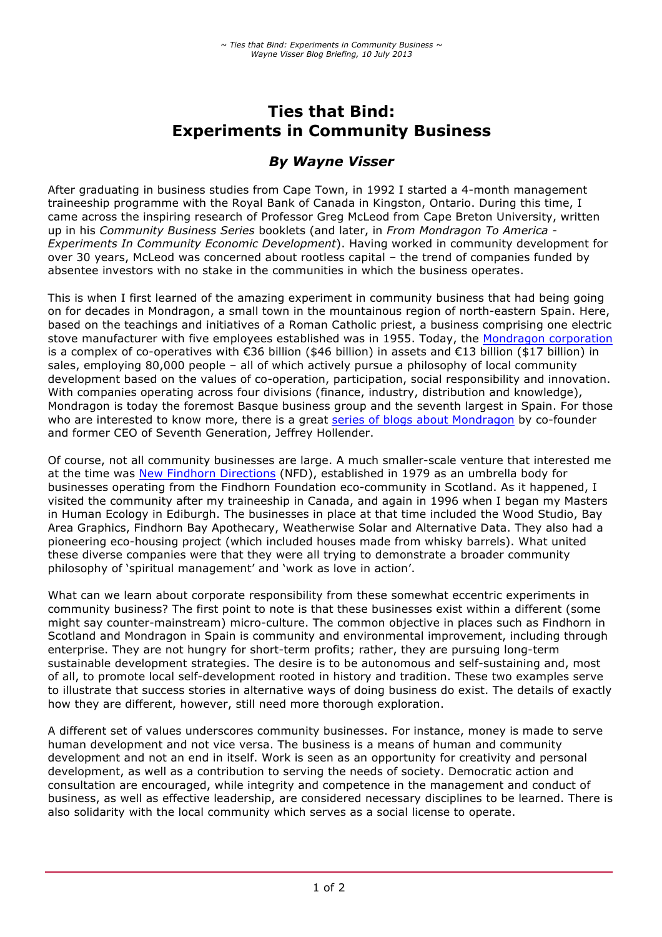# **Ties that Bind: Experiments in Community Business**

## *By Wayne Visser*

After graduating in business studies from Cape Town, in 1992 I started a 4-month management traineeship programme with the Royal Bank of Canada in Kingston, Ontario. During this time, I came across the inspiring research of Professor Greg McLeod from Cape Breton University, written up in his *Community Business Series* booklets (and later, in *From Mondragon To America - Experiments In Community Economic Development*). Having worked in community development for over 30 years, McLeod was concerned about rootless capital – the trend of companies funded by absentee investors with no stake in the communities in which the business operates.

This is when I first learned of the amazing experiment in community business that had being going on for decades in Mondragon, a small town in the mountainous region of north-eastern Spain. Here, based on the teachings and initiatives of a Roman Catholic priest, a business comprising one electric stove manufacturer with five employees established was in 1955. Today, the Mondragon corporation is a complex of co-operatives with €36 billion (\$46 billion) in assets and €13 billion (\$17 billion) in sales, employing 80,000 people – all of which actively pursue a philosophy of local community development based on the values of co-operation, participation, social responsibility and innovation. With companies operating across four divisions (finance, industry, distribution and knowledge), Mondragon is today the foremost Basque business group and the seventh largest in Spain. For those who are interested to know more, there is a great series of blogs about Mondragon by co-founder and former CEO of Seventh Generation, Jeffrey Hollender.

Of course, not all community businesses are large. A much smaller-scale venture that interested me at the time was New Findhorn Directions (NFD), established in 1979 as an umbrella body for businesses operating from the Findhorn Foundation eco-community in Scotland. As it happened, I visited the community after my traineeship in Canada, and again in 1996 when I began my Masters in Human Ecology in Ediburgh. The businesses in place at that time included the Wood Studio, Bay Area Graphics, Findhorn Bay Apothecary, Weatherwise Solar and Alternative Data. They also had a pioneering eco-housing project (which included houses made from whisky barrels). What united these diverse companies were that they were all trying to demonstrate a broader community philosophy of 'spiritual management' and 'work as love in action'.

What can we learn about corporate responsibility from these somewhat eccentric experiments in community business? The first point to note is that these businesses exist within a different (some might say counter-mainstream) micro-culture. The common objective in places such as Findhorn in Scotland and Mondragon in Spain is community and environmental improvement, including through enterprise. They are not hungry for short-term profits; rather, they are pursuing long-term sustainable development strategies. The desire is to be autonomous and self-sustaining and, most of all, to promote local self-development rooted in history and tradition. These two examples serve to illustrate that success stories in alternative ways of doing business do exist. The details of exactly how they are different, however, still need more thorough exploration.

A different set of values underscores community businesses. For instance, money is made to serve human development and not vice versa. The business is a means of human and community development and not an end in itself. Work is seen as an opportunity for creativity and personal development, as well as a contribution to serving the needs of society. Democratic action and consultation are encouraged, while integrity and competence in the management and conduct of business, as well as effective leadership, are considered necessary disciplines to be learned. There is also solidarity with the local community which serves as a social license to operate.